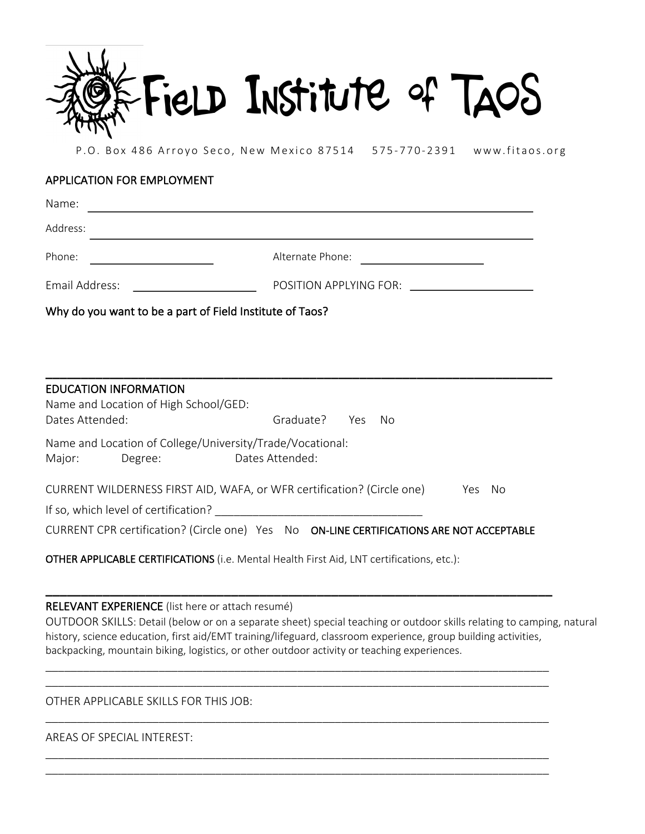

P.O. Box 486 Arroyo Seco, New Mexico 87514 575-770-2391 www.fitaos.org

# APPLICATION FOR EMPLOYMENT

| Name:                                                                  |                                                                                                                                                                                                                                |
|------------------------------------------------------------------------|--------------------------------------------------------------------------------------------------------------------------------------------------------------------------------------------------------------------------------|
| Address:                                                               |                                                                                                                                                                                                                                |
| Phone:                                                                 | Alternate Phone:                                                                                                                                                                                                               |
| Email Address:                                                         | POSITION APPLYING FOR: \\cdot \\cdot \\cdot \\cdot \\cdot \\cdot \\cdot \\cdot \\cdot \\cdot \\cdot \\cdot \\cdot \\cdot \\cdot \\cdot \\cdot \\cdot \\cdot \\cdot \\cdot \\cdot \\cdot \\cdot \\cdot \\cdot \\cdot \\cdot \\c |
| Why do you want to be a part of Field Institute of Taos?               |                                                                                                                                                                                                                                |
|                                                                        |                                                                                                                                                                                                                                |
|                                                                        |                                                                                                                                                                                                                                |
| <b>EDUCATION INFORMATION</b>                                           |                                                                                                                                                                                                                                |
| Name and Location of High School/GED:<br>Dates Attended:               | Graduate? Yes<br>No                                                                                                                                                                                                            |
| Name and Location of College/University/Trade/Vocational:              |                                                                                                                                                                                                                                |
| Major:<br>Degree:                                                      | Dates Attended:                                                                                                                                                                                                                |
| CURRENT WILDERNESS FIRST AID, WAFA, or WFR certification? (Circle one) | Yes No                                                                                                                                                                                                                         |
| If so, which level of certification?                                   |                                                                                                                                                                                                                                |
|                                                                        | CURRENT CPR certification? (Circle one) Yes No ON-LINE CERTIFICATIONS ARE NOT ACCEPTABLE                                                                                                                                       |

OTHER APPLICABLE CERTIFICATIONS (i.e. Mental Health First Aid, LNT certifications, etc.):

#### RELEVANT EXPERIENCE (list here or attach resumé)

OUTDOOR SKILLS: Detail (below or on a separate sheet) special teaching or outdoor skills relating to camping, natural history, science education, first aid/EMT training/lifeguard, classroom experience, group building activities, backpacking, mountain biking, logistics, or other outdoor activity or teaching experiences.

\_\_\_\_\_\_\_\_\_\_\_\_\_\_\_\_\_\_\_\_\_\_\_\_\_\_\_\_\_\_\_\_\_\_\_\_\_\_\_\_\_\_\_\_\_\_\_\_\_\_\_\_\_\_\_\_\_\_\_\_\_\_\_\_\_\_\_\_\_\_\_

\_\_\_\_\_\_\_\_\_\_\_\_\_\_\_\_\_\_\_\_\_\_\_\_\_\_\_\_\_\_\_\_\_\_\_\_\_\_\_\_\_\_\_\_\_\_\_\_\_\_\_\_\_\_\_\_\_\_\_\_\_\_\_\_\_\_\_\_\_\_\_\_\_\_\_\_\_\_\_\_ \_\_\_\_\_\_\_\_\_\_\_\_\_\_\_\_\_\_\_\_\_\_\_\_\_\_\_\_\_\_\_\_\_\_\_\_\_\_\_\_\_\_\_\_\_\_\_\_\_\_\_\_\_\_\_\_\_\_\_\_\_\_\_\_\_\_\_\_\_\_\_\_\_\_\_\_\_\_\_\_

\_\_\_\_\_\_\_\_\_\_\_\_\_\_\_\_\_\_\_\_\_\_\_\_\_\_\_\_\_\_\_\_\_\_\_\_\_\_\_\_\_\_\_\_\_\_\_\_\_\_\_\_\_\_\_\_\_\_\_\_\_\_\_\_\_\_\_\_\_\_\_\_\_\_\_\_\_\_\_\_

\_\_\_\_\_\_\_\_\_\_\_\_\_\_\_\_\_\_\_\_\_\_\_\_\_\_\_\_\_\_\_\_\_\_\_\_\_\_\_\_\_\_\_\_\_\_\_\_\_\_\_\_\_\_\_\_\_\_\_\_\_\_\_\_\_\_\_\_\_\_\_\_\_\_\_\_\_\_\_\_ \_\_\_\_\_\_\_\_\_\_\_\_\_\_\_\_\_\_\_\_\_\_\_\_\_\_\_\_\_\_\_\_\_\_\_\_\_\_\_\_\_\_\_\_\_\_\_\_\_\_\_\_\_\_\_\_\_\_\_\_\_\_\_\_\_\_\_\_\_\_\_\_\_\_\_\_\_\_\_\_

OTHER APPLICABLE SKILLS FOR THIS JOB: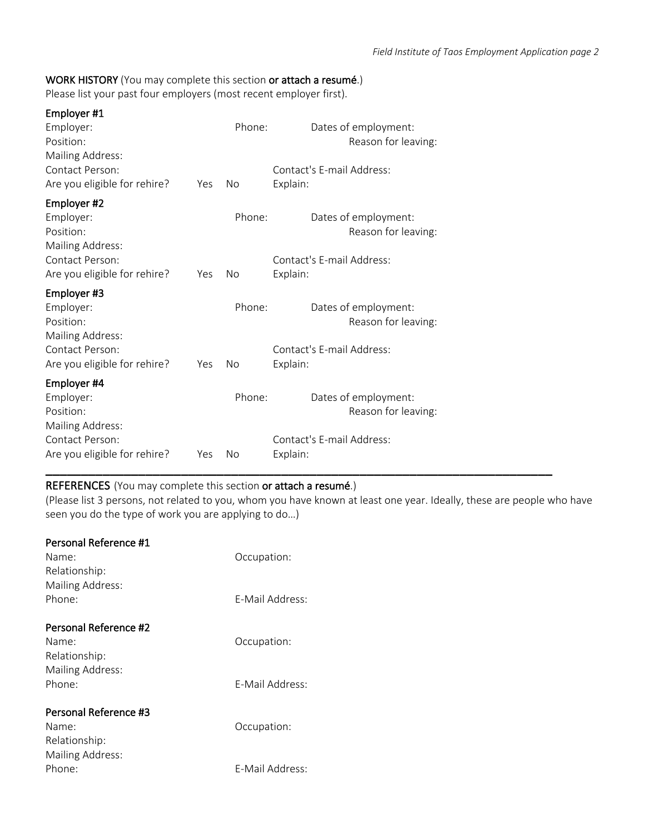### WORK HISTORY (You may complete this section or attach a resumé.)

Please list your past four employers (most recent employer first).

| Employer #1<br>Employer:<br>Position:<br>Mailing Address: |     | Phone:    | Dates of employment:<br>Reason for leaving: |
|-----------------------------------------------------------|-----|-----------|---------------------------------------------|
| Contact Person:<br>Are you eligible for rehire?           | Yes | <b>No</b> | Contact's E-mail Address:<br>Explain:       |
| Employer #2<br>Employer:<br>Position:<br>Mailing Address: |     | Phone:    | Dates of employment:<br>Reason for leaving: |
| Contact Person:<br>Are you eligible for rehire?           | Yes | No        | Contact's E-mail Address:<br>Explain:       |
| Employer #3<br>Employer:<br>Position:<br>Mailing Address: |     | Phone:    | Dates of employment:<br>Reason for leaving: |
| Contact Person:<br>Are you eligible for rehire?           | Yes | No        | Contact's F-mail Address:<br>Explain:       |
| Employer #4<br>Employer:<br>Position:<br>Mailing Address: |     | Phone:    | Dates of employment:<br>Reason for leaving: |
| Contact Person:<br>Are you eligible for rehire?           | Yes | No        | Contact's E-mail Address:<br>Explain:       |

### REFERENCES (You may complete this section or attach a resumé.)

(Please list 3 persons, not related to you, whom you have known at least one year. Ideally, these are people who have seen you do the type of work you are applying to do…)

\_\_\_\_\_\_\_\_\_\_\_\_\_\_\_\_\_\_\_\_\_\_\_\_\_\_\_\_\_\_\_\_\_\_\_\_\_\_\_\_\_\_\_\_\_\_\_\_\_\_\_\_\_\_\_\_\_\_\_\_\_\_\_\_\_\_\_\_\_\_\_

| Personal Reference #1<br>Name:<br>Relationship:                     | Occupation:     |
|---------------------------------------------------------------------|-----------------|
| Mailing Address:<br>Phone:                                          | F-Mail Address: |
| Personal Reference #2<br>Name:<br>Relationship:                     | Occupation:     |
| Mailing Address:<br>Phone:                                          | F-Mail Address: |
| Personal Reference #3<br>Name:<br>Relationship:<br>Mailing Address: | Occupation:     |
| Phone:                                                              | F-Mail Address: |